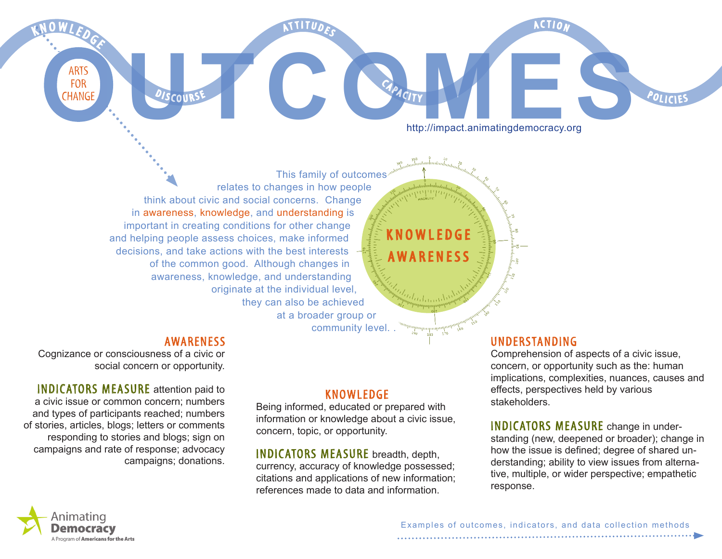AATTITUDES

http://impact.animatingdemocracy.org FOR CHANGE DISCOURSE CLARACTY **HELP AND ARTISED AND ARTISED AND ARTISED AND ARTISED AND ARTISED AND ARTISED AND ARTISED AND ARTISED AND ARTISED AND ARTISED AND ARTISED AND ARTISTOPIC AND ARTISTOPIC AND ARTISTOPIC AND ARTIS** 

**A C T I N** 

This family of outcomes relates to changes in how people think about civic and social concerns. Change in awareness, knowledge, and understanding is important in creating conditions for other change and helping people assess choices, make informed decisions, and take actions with the best interests of the common good. Although changes in awareness, knowledge, and understanding originate at the individual level, they can also be achieved at a broader group or

OWLEDGE awareness

فيرزاره

CAPACITY

#### **AWARENESS**

<sup>D</sup>ISCOURS

Cognizance or consciousness of a civic or social concern or opportunity.

**INDICATORS MEASURE** attention paid to a civic issue or common concern; numbers and types of participants reached; numbers of stories, articles, blogs; letters or comments responding to stories and blogs; sign on campaigns and rate of response; advocacy campaigns; donations.

### **KNOWLEDGE**

community level. .

Being informed, educated or prepared with information or knowledge about a civic issue, concern, topic, or opportunity.

INDICATORS MEASURE breadth, depth, currency, accuracy of knowledge possessed; citations and applications of new information; references made to data and information.

#### UNDERSTANDING

Comprehension of aspects of a civic issue, concern, or opportunity such as the: human implications, complexities, nuances, causes and effects, perspectives held by various stakeholders.

POLICIES

#### **INDICATORS MEASURE** change in under-

standing (new, deepened or broader); change in how the issue is defined; degree of shared understanding; ability to view issues from alternative, multiple, or wider perspective; empathetic response.



ARTS<br>FOR

K NOWLEDGE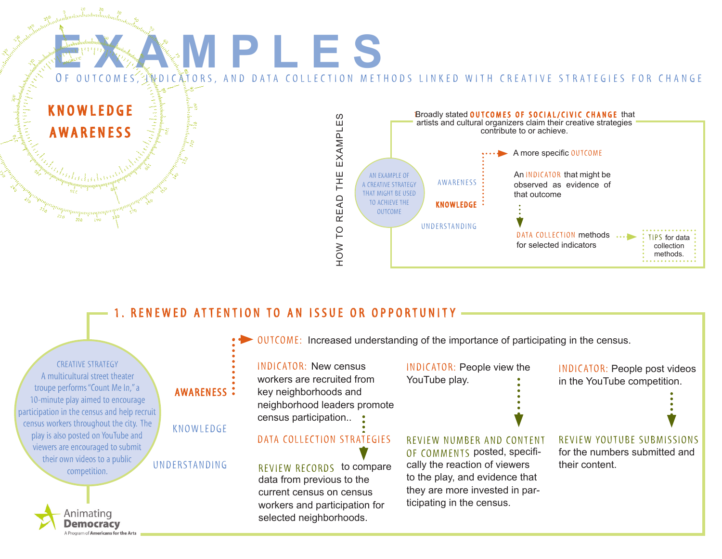#### **EXAMPL e S** OF OUTCOMES, WDICATORS, AND DATA COLLECTION METHODS LINKED WITH CREATIVE STRATEGIES FOR CHANGE knowledge Broadly stated OUTCOMES OF SOCIAL/CIVIC CHANGE that EXAMPLES to read the EXAMPLES artists and cultural organizers claim their creative strategies **AWARENESS** contribute to or achieve. A more specific OUTCOME 뽚 AN example of An INDICATOR that might be awareness a creative strategy observed as evidence of 른 that might be used **READ** that outcome TO ACHIEVE THE knowledge outcome understanding HOW TO DATA COLLECTION methods ... TIps for data for selected indicators collection methods.

# 1. RENEWED ATTENTION TO AN ISSUE OR OPPORTUNITY

Program of **Americans for the Arts** 

 $OUTCOME:$  Increased understanding of the importance of participating in the census. creative strategy INDICATOR: New census INDICATOR: People view the INDICATOR: People post videos A multicultural street theater workers are recruited from YouTube play. in the YouTube competition. troupe performs "Count Me In," a awareness key neighborhoods and 10-minute play aimed to encourage neighborhood leaders promote participation in the census and help recruit census participation.. census workers throughout the city. The knowledge play is also posted on YouTube and DATA COLLECTION STRATEGIES REVIEW NUMBER AND CONTENT REVIEW YOUTUBE SUBMISSIONS REVIEW NUMBER AND CONTENT viewers are encouraged to submit of comments posted, specififor the numbers submitted and their own videos to a public cally the reaction of viewers understanding their content. REVIEW RECORDS to compare competition. to the play, and evidence that data from previous to the they are more invested in parcurrent census on census ticipating in the census. workers and participation for Animating selected neighborhoods. Democracv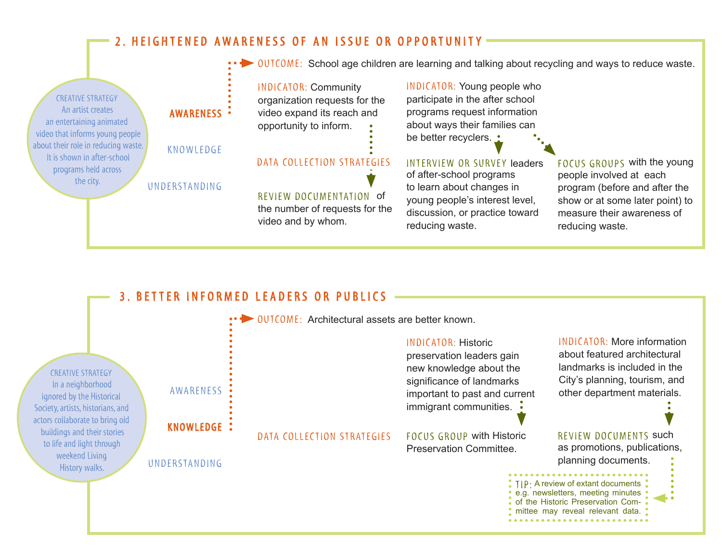## 2. HEIGHTENED AWARENESS OF AN ISSUE OR OPPORTUNITY

INDICATOR: Community organization requests for the video expand its reach and opportunity to inform. Review documentation of the number of requests for the video and by whom. FOCUS GROUPS with the young people involved at each program (before and after the show or at some later point) to measure their awareness of reducing waste. INTERVIEW OR SURVEY leaders of after-school programs to learn about changes in young people's interest level, discussion, or practice toward reducing waste. INDICATOR: Young people who participate in the after school programs request information about ways their families can be better recyclers. **DUTCOME:** School age children are learning and talking about recycling and ways to reduce waste. awareness knowledge understanding DATA COLLECTION STRATEGIES creative strategy An artist creates an entertaining animated video that informs young people about their role in reducing waste. It is shown in after-school programs held across the city.

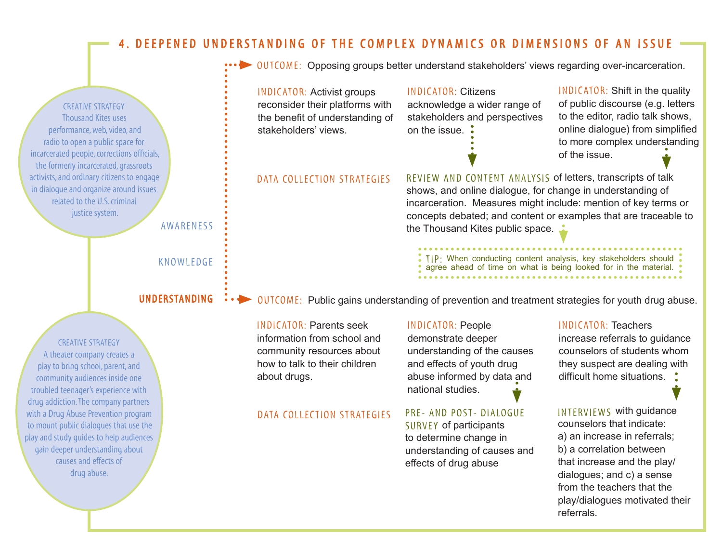### 4. DEEPENED UNDERSTANDING OF THE COMPLEX DYNAMICS OR DIMENSIONS OF AN ISSUE

 $OUTOME:$  Opposing groups better understand stakeholders' views regarding over-incarceration.

INDICATOR: Citizens acknowledge a wider range of stakeholders and perspectives on the issue. INDICATOR: Shift in the quality of public discourse (e.g. letters to the editor, radio talk shows, online dialogue) from simplified to more complex understanding of the issue. INDICATOR: Activist groups reconsider their platforms with the benefit of understanding of stakeholders' views. Review and content analysis of letters, transcripts of talk shows, and online dialogue, for change in understanding of incarceration. Measures might include: mention of key terms or concepts debated; and content or examples that are traceable to the Thousand Kites public space. INDICATOR: People TIP : When conducting content analysis, key stakeholders should agree ahead of time on what is being looked for in the material.  $OUTCOME:$  Public gains understanding of prevention and treatment strategies for youth drug abuse. awareness knowledge understanding DATA COLLECTION STRATEGIES creative strategy Thousand Kites uses performance, web, video, and radio to open a public space for incarcerated people, corrections officials, the formerly incarcerated, grassroots activists, and ordinary citizens to engage in dialogue and organize around issues related to the U.S. criminal justice system.

INDICATOR: Parents seek information from school and community resources about how to talk to their children about drugs.

#### DATA COLLECTION STRATEGIES

## Pre- and post- dialogue national studies.

understanding of the causes and effects of youth drug abuse informed by data and

demonstrate deeper

SURVEY of participants to determine change in understanding of causes and effects of drug abuse

#### INDICATOR: Teachers increase referrals to guidance

counselors of students whom they suspect are dealing with difficult home situations.

Interviews with guidance counselors that indicate: a) an increase in referrals; b) a correlation between that increase and the play/ dialogues; and c) a sense from the teachers that the play/dialogues motivated their referrals.

creative strategy A theater company creates a play to bring school, parent, and community audiences inside one troubled teenager's experience with drug addiction. The company partners with a Drug Abuse Prevention program to mount public dialogues that use the play and study guides to help audiences gain deeper understanding about causes and effects of drug abuse.